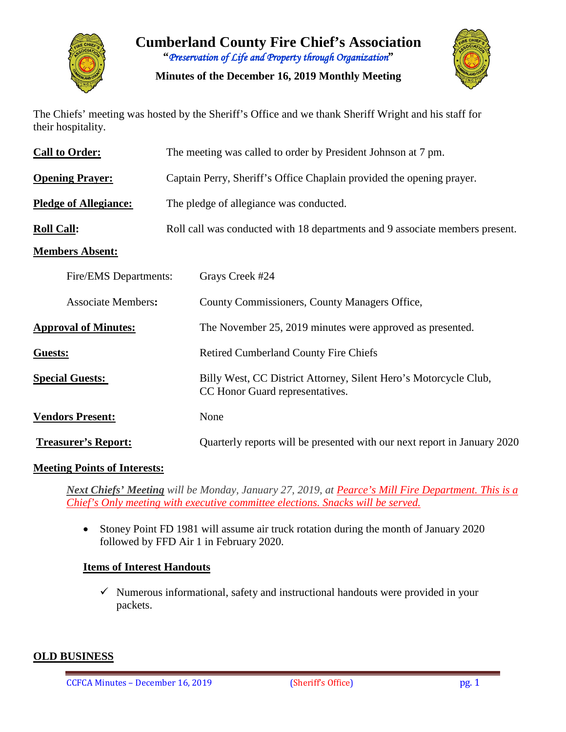

**Cumberland County Fire Chief's Association "***Preservation of Life and Property through Organization***"**

**Minutes of the December 16, 2019 Monthly Meeting**



The Chiefs' meeting was hosted by the Sheriff's Office and we thank Sheriff Wright and his staff for their hospitality.

| <b>Call to Order:</b>                              | The meeting was called to order by President Johnson at 7 pm.                |                                                                                                     |  |  |  |  |  |  |
|----------------------------------------------------|------------------------------------------------------------------------------|-----------------------------------------------------------------------------------------------------|--|--|--|--|--|--|
| <b>Opening Prayer:</b>                             | Captain Perry, Sheriff's Office Chaplain provided the opening prayer.        |                                                                                                     |  |  |  |  |  |  |
| <b>Pledge of Allegiance:</b>                       | The pledge of allegiance was conducted.                                      |                                                                                                     |  |  |  |  |  |  |
| <b>Roll Call:</b>                                  | Roll call was conducted with 18 departments and 9 associate members present. |                                                                                                     |  |  |  |  |  |  |
| <b>Members Absent:</b>                             |                                                                              |                                                                                                     |  |  |  |  |  |  |
| Fire/EMS Departments:<br><b>Associate Members:</b> |                                                                              | Grays Creek #24                                                                                     |  |  |  |  |  |  |
|                                                    |                                                                              | County Commissioners, County Managers Office,                                                       |  |  |  |  |  |  |
| <b>Approval of Minutes:</b>                        |                                                                              | The November 25, 2019 minutes were approved as presented.                                           |  |  |  |  |  |  |
| Guests:                                            |                                                                              | <b>Retired Cumberland County Fire Chiefs</b>                                                        |  |  |  |  |  |  |
| <b>Special Guests:</b>                             |                                                                              | Billy West, CC District Attorney, Silent Hero's Motorcycle Club,<br>CC Honor Guard representatives. |  |  |  |  |  |  |
| <b>Vendors Present:</b>                            |                                                                              | None                                                                                                |  |  |  |  |  |  |
| <b>Treasurer's Report:</b>                         |                                                                              | Quarterly reports will be presented with our next report in January 2020                            |  |  |  |  |  |  |

#### **Meeting Points of Interests:**

*Next Chiefs' Meeting will be Monday, January 27, 2019, at Pearce's Mill Fire Department. This is a Chief's Only meeting with executive committee elections. Snacks will be served.*

• Stoney Point FD 1981 will assume air truck rotation during the month of January 2020 followed by FFD Air 1 in February 2020.

#### **Items of Interest Handouts**

 $\checkmark$  Numerous informational, safety and instructional handouts were provided in your packets.

#### **OLD BUSINESS**

CCFCA Minutes – December 16, 2019 (Sheriff's Office) pg. 1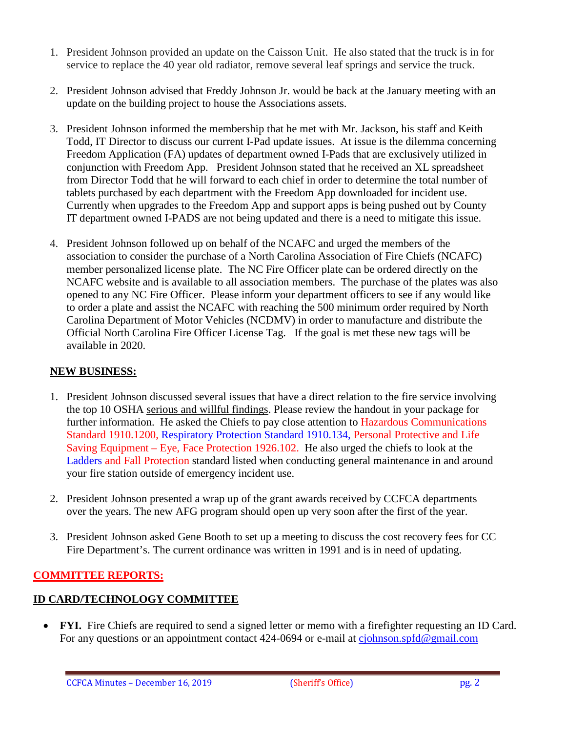- 1. President Johnson provided an update on the Caisson Unit. He also stated that the truck is in for service to replace the 40 year old radiator, remove several leaf springs and service the truck.
- 2. President Johnson advised that Freddy Johnson Jr. would be back at the January meeting with an update on the building project to house the Associations assets.
- 3. President Johnson informed the membership that he met with Mr. Jackson, his staff and Keith Todd, IT Director to discuss our current I-Pad update issues. At issue is the dilemma concerning Freedom Application (FA) updates of department owned I-Pads that are exclusively utilized in conjunction with Freedom App. President Johnson stated that he received an XL spreadsheet from Director Todd that he will forward to each chief in order to determine the total number of tablets purchased by each department with the Freedom App downloaded for incident use. Currently when upgrades to the Freedom App and support apps is being pushed out by County IT department owned I-PADS are not being updated and there is a need to mitigate this issue.
- 4. President Johnson followed up on behalf of the NCAFC and urged the members of the association to consider the purchase of a North Carolina Association of Fire Chiefs (NCAFC) member personalized license plate. The NC Fire Officer plate can be ordered directly on the NCAFC website and is available to all association members. The purchase of the plates was also opened to any NC Fire Officer. Please inform your department officers to see if any would like to order a plate and assist the NCAFC with reaching the 500 minimum order required by North Carolina Department of Motor Vehicles (NCDMV) in order to manufacture and distribute the Official North Carolina Fire Officer License Tag. If the goal is met these new tags will be available in 2020.

# **NEW BUSINESS:**

- 1. President Johnson discussed several issues that have a direct relation to the fire service involving the top 10 OSHA serious and willful findings. Please review the handout in your package for further information. He asked the Chiefs to pay close attention to Hazardous Communications Standard 1910.1200, Respiratory Protection Standard 1910.134, Personal Protective and Life Saving Equipment – Eye, Face Protection 1926.102. He also urged the chiefs to look at the Ladders and Fall Protection standard listed when conducting general maintenance in and around your fire station outside of emergency incident use.
- 2. President Johnson presented a wrap up of the grant awards received by CCFCA departments over the years. The new AFG program should open up very soon after the first of the year.
- 3. President Johnson asked Gene Booth to set up a meeting to discuss the cost recovery fees for CC Fire Department's. The current ordinance was written in 1991 and is in need of updating.

# **COMMITTEE REPORTS:**

# **ID CARD/TECHNOLOGY COMMITTEE**

• **FYI.** Fire Chiefs are required to send a signed letter or memo with a firefighter requesting an ID Card. For any questions or an appointment contact 424-0694 or e-mail at ciohnson.spfd@gmail.com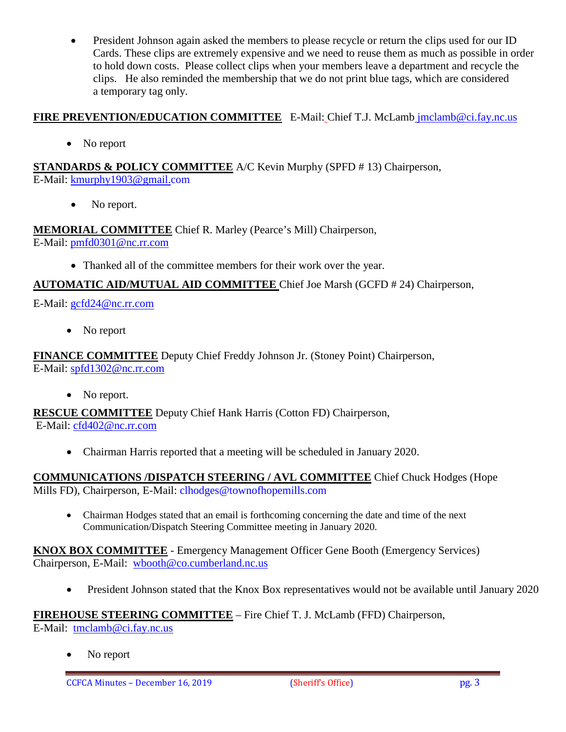• President Johnson again asked the members to please recycle or return the clips used for our ID Cards. These clips are extremely expensive and we need to reuse them as much as possible in order to hold down costs. Please collect clips when your members leave a department and recycle the clips. He also reminded the membership that we do not print blue tags, which are considered a temporary tag only.

# **FIRE PREVENTION/EDUCATION COMMITTEE** E-Mail: Chief T.J. McLamb [jmclamb@ci.fay.nc.us](mailto:jmclamb@ci.fay.nc.us)

• No report

**STANDARDS & POLICY COMMITTEE** A/C Kevin Murphy (SPFD # 13) Chairperson, E-Mail: [kmurphy1903@gmail.com](mailto:kmurphy1903@gmail.com)

• No report.

**MEMORIAL COMMITTEE** Chief R. Marley (Pearce's Mill) Chairperson, E-Mail: [pmfd0301@nc.rr.com](mailto:pmfd0301@nc.rr.com)

• Thanked all of the committee members for their work over the year.

# **AUTOMATIC AID/MUTUAL AID COMMITTEE** Chief Joe Marsh (GCFD # 24) Chairperson,

E-Mail: [gcfd24@nc.rr.com](mailto:gcfd24@nc.rr.com)

• No report

**FINANCE COMMITTEE** Deputy Chief Freddy Johnson Jr. (Stoney Point) Chairperson, E-Mail: [spfd1302@nc.rr.com](mailto:spfd1302@nc.rr.com)

• No report.

**RESCUE COMMITTEE** Deputy Chief Hank Harris (Cotton FD) Chairperson, E-Mail: [cfd402@nc.rr.com](mailto:cfd402@nc.rr.com)

• Chairman Harris reported that a meeting will be scheduled in January 2020.

**COMMUNICATIONS /DISPATCH STEERING / AVL COMMITTEE** Chief Chuck Hodges (Hope Mills FD), Chairperson, E-Mail: clhodges@townofhopemills.com

• Chairman Hodges stated that an email is forthcoming concerning the date and time of the next Communication/Dispatch Steering Committee meeting in January 2020.

**KNOX BOX COMMITTEE** - Emergency Management Officer Gene Booth (Emergency Services) Chairperson, E-Mail: [wbooth@co.cumberland.nc.us](mailto:wbooth@co.cumberland.nc.us)

• President Johnson stated that the Knox Box representatives would not be available until January 2020

**FIREHOUSE STEERING COMMITTEE** – Fire Chief T. J. McLamb (FFD) Chairperson,

E-Mail: [tmclamb@ci.fay.nc.us](mailto:tmclamb@ci.fay.nc.us)

No report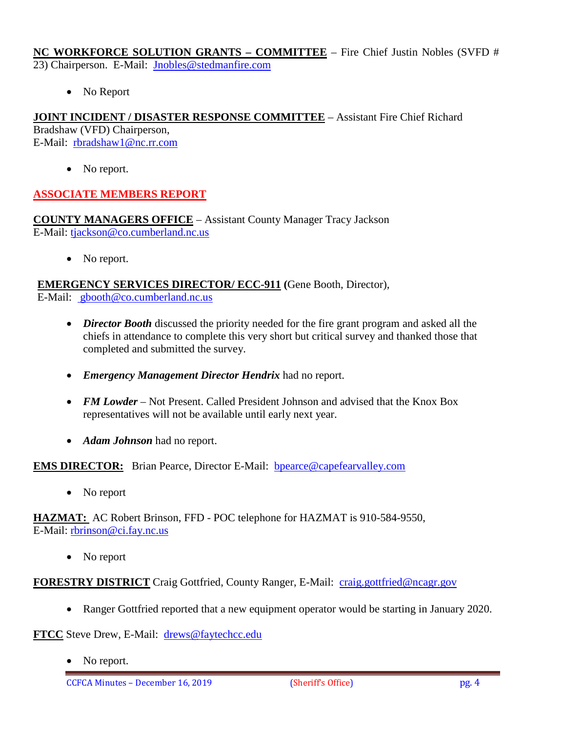**NC WORKFORCE SOLUTION GRANTS – COMMITTEE** – Fire Chief Justin Nobles (SVFD # 23) Chairperson. E-Mail: [Jnobles@stedmanfire.com](mailto:Jnobles@stedmanfire.com)

• No Report

**JOINT INCIDENT / DISASTER RESPONSE COMMITTEE** – Assistant Fire Chief Richard Bradshaw (VFD) Chairperson, E-Mail: [rbradshaw1@nc.rr.com](mailto:rbradshaw1@nc.rr.com)

No report.

# **ASSOCIATE MEMBERS REPORT**

**COUNTY MANAGERS OFFICE** – Assistant County Manager Tracy Jackson E-Mail: [tjackson@co.cumberland.nc.us](mailto:tjackson@co.cumberland.nc.us)

• No report.

**EMERGENCY SERVICES DIRECTOR/ ECC-911 (**Gene Booth, Director),

E-Mail: [gbooth@co.cumberland.nc.us](mailto:gbooth@co.cumberland.nc.us)

- *Director Booth* discussed the priority needed for the fire grant program and asked all the chiefs in attendance to complete this very short but critical survey and thanked those that completed and submitted the survey.
- *Emergency Management Director Hendrix* had no report.
- *FM Lowder* Not Present. Called President Johnson and advised that the Knox Box representatives will not be available until early next year.
- *Adam Johnson* had no report.

**EMS DIRECTOR:** Brian Pearce, Director E-Mail: bpearce@capefearvalley.com

• No report

**HAZMAT:** AC Robert Brinson, FFD - POC telephone for HAZMAT is 910-584-9550, E-Mail: [rbrinson@ci.fay.nc.us](mailto:rbrinson@ci.fay.nc.us)

• No report

**FORESTRY DISTRICT** Craig Gottfried, County Ranger, E-Mail: [craig.gottfried@ncagr.gov](mailto:craig.gottfried@ncagr.gov)

• Ranger Gottfried reported that a new equipment operator would be starting in January 2020.

**FTCC** Steve Drew, E-Mail: [drews@faytechcc.edu](mailto:drews@faytechcc.edu)

No report.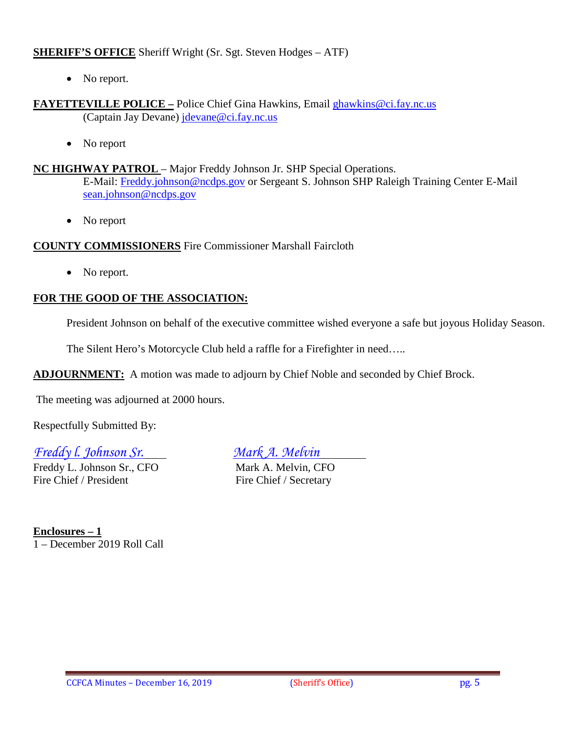#### **SHERIFF'S OFFICE** Sheriff Wright (Sr. Sgt. Steven Hodges – ATF)

• No report.

#### **FAYETTEVILLE POLICE –** Police Chief Gina Hawkins, Email [ghawkins@ci.fay.nc.us](mailto:ghawkins@ci.fay.nc.us)  (Captain Jay Devane) [jdevane@ci.fay.nc.us](mailto:jdevane@ci.fay.nc.us)

• No report

#### **NC HIGHWAY PATROL** – Major Freddy Johnson Jr. SHP Special Operations.

E-Mail: [Freddy.johnson@ncdps.gov](mailto:Freddy.johnson@ncdps.gov) or Sergeant S. Johnson SHP Raleigh Training Center E-Mail [sean.johnson@ncdps.gov](mailto:sean.johnson@ncdps.gov)

• No report

#### **COUNTY COMMISSIONERS** Fire Commissioner Marshall Faircloth

• No report.

# **FOR THE GOOD OF THE ASSOCIATION:**

President Johnson on behalf of the executive committee wished everyone a safe but joyous Holiday Season.

The Silent Hero's Motorcycle Club held a raffle for a Firefighter in need…..

**ADJOURNMENT:** A motion was made to adjourn by Chief Noble and seconded by Chief Brock.

The meeting was adjourned at 2000 hours.

Respectfully Submitted By:

# *Freddy l. Johnson Sr. Mark A. Melvin*

Freddy L. Johnson Sr., CFO Mark A. Melvin, CFO Fire Chief / President Fire Chief / Secretary

**Enclosures – 1** 1 – December 2019 Roll Call